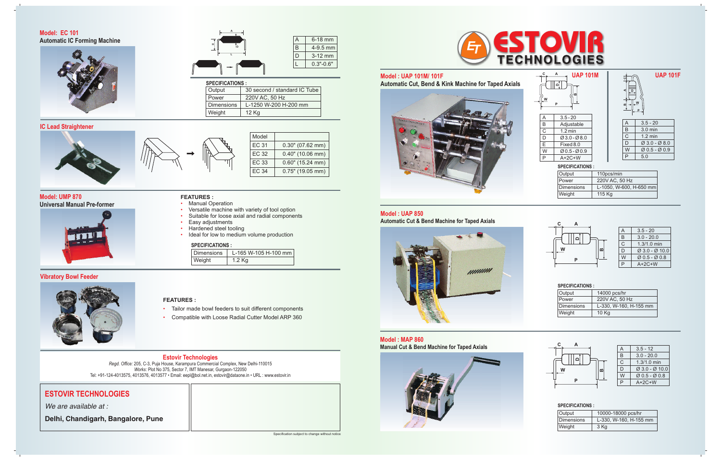Specification subject to change without notice



# **ESTOVIR TECHNOLOGIES**

*We are available at :*

**Delhi, Chandigarh, Bangalore, Pune**

#### **Estovir Technologies** *Regd. Office:* 205, C-3, Puja House, Karampura Commercial Complex, New Delhi-110015 *Works:* Plot No 375, Sector 7, IMT Manesar, Gurgaon-122050 Tel: +91-124-4013575, 4013576, 4013577 • Email: eepl@bol.net.in, estovir@dataone.in • URL : www.estovir.in

**Model : UAP 101M/ 101F** 



# **Model : MAP 860 Manual Cut & Bend Machine for Taped Axials**



#### $A$  3.5 - 12 B 3.0 - 20.0<br>C 1.3/1.0 min  $\begin{array}{|c|c|c|c|}\n\hline\nC & 1.3/1.0 & \text{min}\n\hline\nD & \varnothing & 3.0 & -\varnothing & 10\n\end{array}$  $\begin{array}{|c|c|c|}\n\hline\nD & \varnothing & 3.0 & -\varnothing & 10.0 \\
\hline\nW & \varnothing & 0.5 & -\varnothing & 0.8 \\
\hline\n\end{array}$ W Ø 0.5 - Ø 0.8 P A+2C+W

#### **SPECIFICATIONS :**

#### **SPECIFICATIONS :**

# B 4-9.5 mm  $D$  3-12 mm  $0.3" - 0.6"$

| Output     | 14000 pcs/hr           |  |  |  |
|------------|------------------------|--|--|--|
| Power      | 220V AC, 50 Hz         |  |  |  |
| Dimensions | L-330, W-160, H-155 mm |  |  |  |
| Weight     | 10 Kg                  |  |  |  |

| A | $3.5 - 20$                             |
|---|----------------------------------------|
| B | $3.0 - 20.0$                           |
| C | $1.3/1.0$ min                          |
| D | $\varnothing$ 3.0 - $\varnothing$ 10.0 |
| W | $Q$ 0.5 - $Q$ 0.8                      |
| ₽ | $A+2C+W$                               |

| Output     | 10000-18000 pcs/hr     |  |  |  |
|------------|------------------------|--|--|--|
| Dimensions | L-330, W-160, H-155 mm |  |  |  |
| Weight     | 3 Kg                   |  |  |  |

#### **Automatic Cut, Bend & Kink Machine for Taped Axials UAP 101M UAP 101F SPECIFICATIONS :** A 3.5 - 20<br>
B Adjustal<br>
C 1.2 min Adjustable  $\begin{array}{|c|c|c|}\n\hline\nC & 1.2 \text{ min} \\
\hline\nD & \varnothing 3.0 - \varnothing\n\end{array}$ D Ø 3.0 - Ø 8.0 Fixed 8.0  $\begin{array}{|c|c|c|c|}\hline \text{W} & \text{\O}0.5-\text{\O}0.9 \\ \hline \text{P} & \text{A+2C+W} \\ \hline \end{array}$  $A+2C+W$  $A = 3.5 - 20$ B 3.0 min  $\begin{array}{|c|c|c|}\n\hline\nC & 1.2 \text{ min} \\
\hline\nD & \varnothing 3.0 - \varnothing\n\end{array}$  $\emptyset$  3.0 -  $\emptyset$  8.0  $W \mid \emptyset$  0.5 -  $\emptyset$  0.9 P 5.0 Output 110pcs/min<br>Power 220V AC, 50 220V AC, 50 Hz Dimensions L-1050, W-600, H-650 mm **D C A W P D**<br> **A**  $\frac{1}{2}$ **W P**

Weight 115 Kg

**Model: EC 101 Automatic IC Forming Machine** 



## **Model: UMP 870 Universal Manual Pre-former**



# **Vibratory Bowl Feeder**



### **IC Lead Straightener**



#### **FEATURES :**

- Tailor made bowl feeders to suit different components •
- Compatible with Loose Radial Cutter Model ARP 360 •

# **FEATURES :**

- Manual Operation • Versatile machine with variety of tool option
- Suitable for loose axial and radial components
- Easy adjustments
- Hardened steel tooling
- Ideal for low to medium volume production

| _ . _ _    |                      |  |  |  |
|------------|----------------------|--|--|--|
| Dimensions | L-165 W-105 H-100 mm |  |  |  |
| Weight     | 1.2 Kg               |  |  |  |

# **SPECIFICATIONS :**

| Model        |                     |
|--------------|---------------------|
| <b>EC 31</b> | $0.30"$ (07.62 mm)  |
| <b>EC 32</b> | $0.40"$ (10.06 mm)  |
| EC 33        | $0.60$ " (15.24 mm) |
| EC 34        | $0.75"$ (19.05 mm)  |



| Output            | 30 second / standard IC Tube |  |  |  |
|-------------------|------------------------------|--|--|--|
| Power             | 220V AC, 50 Hz               |  |  |  |
| <b>Dimensions</b> | L-1250 W-200 H-200 mm        |  |  |  |
| Weight            | 12 Kg                        |  |  |  |



# **SPECIFICATIONS :**